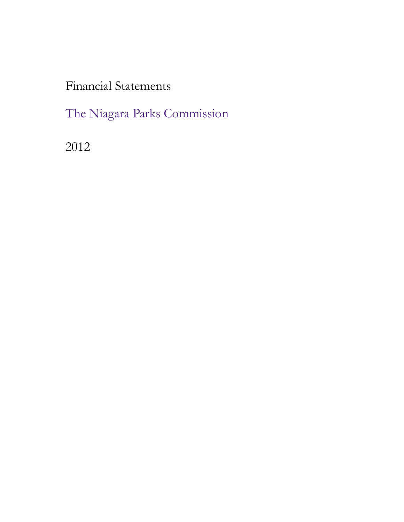Financial Statements

The Niagara Parks Commission

2012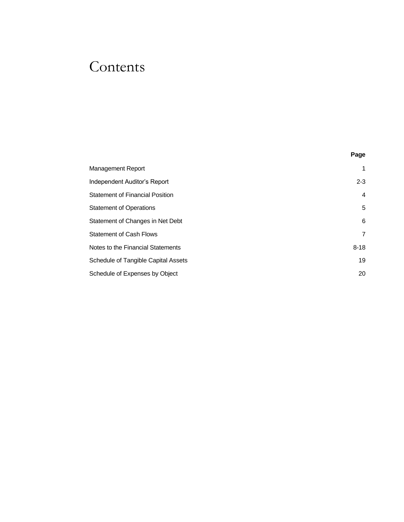# Contents

|                                     | Page           |
|-------------------------------------|----------------|
| Management Report                   | $\mathbf 1$    |
| Independent Auditor's Report        | $2 - 3$        |
| Statement of Financial Position     | $\overline{4}$ |
| <b>Statement of Operations</b>      | 5              |
| Statement of Changes in Net Debt    | 6              |
| Statement of Cash Flows             | $\overline{7}$ |
| Notes to the Financial Statements   | $8 - 18$       |
| Schedule of Tangible Capital Assets | 19             |
| Schedule of Expenses by Object      | 20             |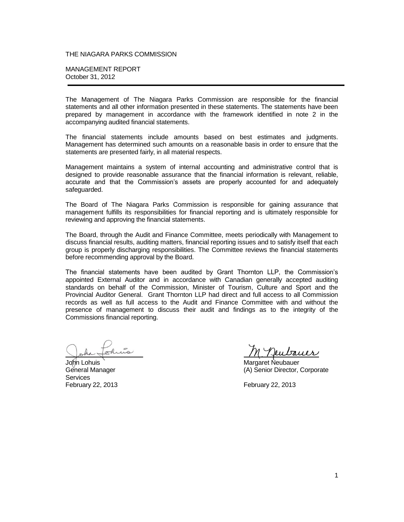#### THE NIAGARA PARKS COMMISSION

MANAGEMENT REPORT October 31, 2012

The Management of The Niagara Parks Commission are responsible for the financial statements and all other information presented in these statements. The statements have been prepared by management in accordance with the framework identified in note 2 in the accompanying audited financial statements.

The financial statements include amounts based on best estimates and judgments. Management has determined such amounts on a reasonable basis in order to ensure that the statements are presented fairly, in all material respects.

Management maintains a system of internal accounting and administrative control that is designed to provide reasonable assurance that the financial information is relevant, reliable, accurate and that the Commission's assets are properly accounted for and adequately safeguarded.

The Board of The Niagara Parks Commission is responsible for gaining assurance that management fulfills its responsibilities for financial reporting and is ultimately responsible for reviewing and approving the financial statements.

The Board, through the Audit and Finance Committee, meets periodically with Management to discuss financial results, auditing matters, financial reporting issues and to satisfy itself that each group is properly discharging responsibilities. The Committee reviews the financial statements before recommending approval by the Board.

The financial statements have been audited by Grant Thornton LLP, the Commission's appointed External Auditor and in accordance with Canadian generally accepted auditing standards on behalf of the Commission, Minister of Tourism, Culture and Sport and the Provincial Auditor General. Grant Thornton LLP had direct and full access to all Commission records as well as full access to the Audit and Finance Committee with and without the presence of management to discuss their audit and findings as to the integrity of the Commissions financial reporting.

**Services** February 22, 2013 February 22, 2013

eubauer

John Lohuis Margaret Neubauer General Manager (A) Senior Director, Corporate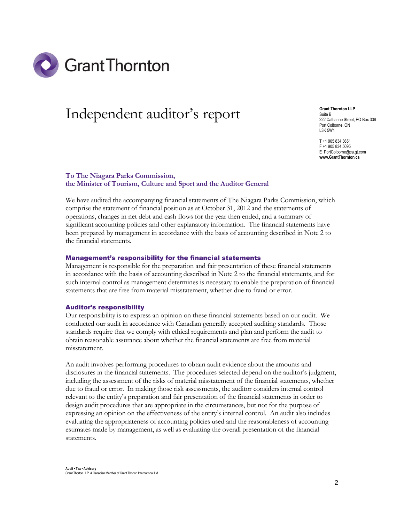

# Independent auditor's report

**Grant Thornton LLP** Suite B 222 Catharine Street, PO Box 336 Port Colborne, ON L3K 5W1

T +1 905 834 3651 F +1 905 834 5095 E PortColborne@ca.gt.com **www.GrantThornton.ca**

#### **To The Niagara Parks Commission, the Minister of Tourism, Culture and Sport and the Auditor General**

We have audited the accompanying financial statements of The Niagara Parks Commission, which comprise the statement of financial position as at October 31, 2012 and the statements of operations, changes in net debt and cash flows for the year then ended, and a summary of significant accounting policies and other explanatory information. The financial statements have been prepared by management in accordance with the basis of accounting described in Note 2 to the financial statements.

#### Management's responsibility for the financial statements

Management is responsible for the preparation and fair presentation of these financial statements in accordance with the basis of accounting described in Note 2 to the financial statements, and for such internal control as management determines is necessary to enable the preparation of financial statements that are free from material misstatement, whether due to fraud or error.

#### Auditor's responsibility

Our responsibility is to express an opinion on these financial statements based on our audit. We conducted our audit in accordance with Canadian generally accepted auditing standards. Those standards require that we comply with ethical requirements and plan and perform the audit to obtain reasonable assurance about whether the financial statements are free from material misstatement.

An audit involves performing procedures to obtain audit evidence about the amounts and disclosures in the financial statements. The procedures selected depend on the auditor's judgment, including the assessment of the risks of material misstatement of the financial statements, whether due to fraud or error. In making those risk assessments, the auditor considers internal control relevant to the entity's preparation and fair presentation of the financial statements in order to design audit procedures that are appropriate in the circumstances, but not for the purpose of expressing an opinion on the effectiveness of the entity's internal control. An audit also includes evaluating the appropriateness of accounting policies used and the reasonableness of accounting estimates made by management, as well as evaluating the overall presentation of the financial statements.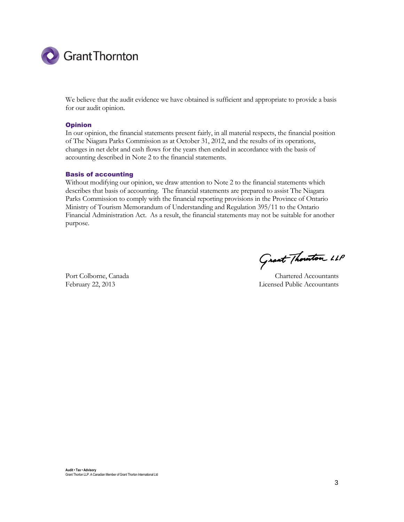

We believe that the audit evidence we have obtained is sufficient and appropriate to provide a basis for our audit opinion.

#### **Opinion**

In our opinion, the financial statements present fairly, in all material respects, the financial position of The Niagara Parks Commission as at October 31, 2012, and the results of its operations, changes in net debt and cash flows for the years then ended in accordance with the basis of accounting described in Note 2 to the financial statements.

#### Basis of accounting

Without modifying our opinion, we draw attention to Note 2 to the financial statements which describes that basis of accounting. The financial statements are prepared to assist The Niagara Parks Commission to comply with the financial reporting provisions in the Province of Ontario Ministry of Tourism Memorandum of Understanding and Regulation 395/11 to the Ontario Financial Administration Act. As a result, the financial statements may not be suitable for another purpose.

Grant Thouton LLP

Port Colborne, Canada Chartered Accountants February 22, 2013 Licensed Public Accountants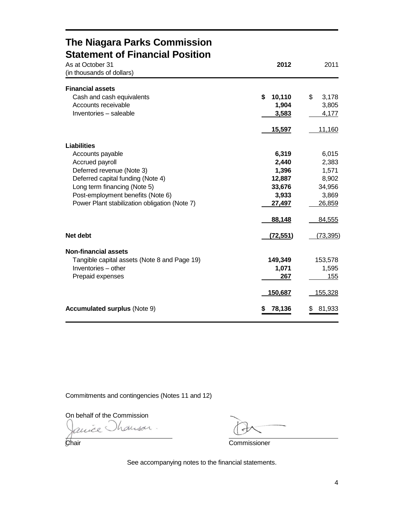| <b>The Niagara Parks Commission</b><br><b>Statement of Financial Position</b><br>As at October 31 | 2012         | 2011           |
|---------------------------------------------------------------------------------------------------|--------------|----------------|
| (in thousands of dollars)                                                                         |              |                |
| <b>Financial assets</b>                                                                           |              |                |
| Cash and cash equivalents                                                                         | 10,110<br>\$ | 3,178<br>\$    |
| Accounts receivable                                                                               | 1,904        | 3,805          |
| Inventories - saleable                                                                            | 3,583        | 4,177          |
|                                                                                                   | 15,597       | 11,160         |
| <b>Liabilities</b>                                                                                |              |                |
| Accounts payable                                                                                  | 6,319        | 6,015          |
| Accrued payroll                                                                                   | 2,440        | 2,383          |
| Deferred revenue (Note 3)                                                                         | 1,396        | 1,571          |
| Deferred capital funding (Note 4)                                                                 | 12,887       | 8,902          |
| Long term financing (Note 5)                                                                      | 33,676       | 34,956         |
| Post-employment benefits (Note 6)                                                                 | 3,933        | 3,869          |
| Power Plant stabilization obligation (Note 7)                                                     | 27,497       | 26,859         |
|                                                                                                   | 88,148       | 84,555         |
| Net debt                                                                                          | (72, 551)    | (73, 395)      |
| <b>Non-financial assets</b>                                                                       |              |                |
| Tangible capital assets (Note 8 and Page 19)                                                      | 149,349      | 153,578        |
| Inventories - other                                                                               | 1,071        | 1,595          |
| Prepaid expenses                                                                                  | 267          | 155            |
|                                                                                                   | 150,687      | <u>155,328</u> |
| <b>Accumulated surplus (Note 9)</b>                                                               | \$<br>78,136 | \$<br>81,933   |

Commitments and contingencies (Notes 11 and 12)

On behalf of the Commission

anice Thomson.

Chair Commissioner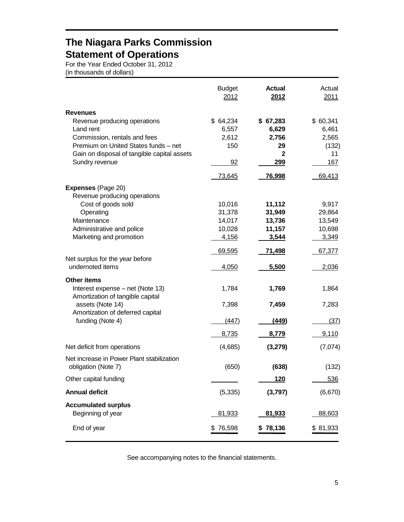# **The Niagara Parks Commission Statement of Operations**

For the Year Ended October 31, 2012 (in thousands of dollars)

|                                                                                                                                                                     | <b>Budget</b><br>2012                         | <b>Actual</b><br>2012                            | Actual<br>2011                               |
|---------------------------------------------------------------------------------------------------------------------------------------------------------------------|-----------------------------------------------|--------------------------------------------------|----------------------------------------------|
| <b>Revenues</b>                                                                                                                                                     |                                               |                                                  |                                              |
| Revenue producing operations<br>Land rent<br>Commission, rentals and fees<br>Premium on United States funds - net<br>Gain on disposal of tangible capital assets    | \$64,234<br>6,557<br>2,612<br>150             | \$67,283<br>6,629<br>2,756<br>29<br>$\mathbf{2}$ | \$60,341<br>6,461<br>2,565<br>(132)<br>11    |
| Sundry revenue                                                                                                                                                      | 92                                            | 299                                              | 167                                          |
|                                                                                                                                                                     | 73,645                                        | 76,998                                           | 69,413                                       |
| <b>Expenses (Page 20)</b><br>Revenue producing operations<br>Cost of goods sold<br>Operating<br>Maintenance<br>Administrative and police<br>Marketing and promotion | 10,016<br>31,378<br>14,017<br>10,028<br>4,156 | 11,112<br>31,949<br>13,736<br>11,157<br>3,544    | 9,917<br>29,864<br>13,549<br>10,698<br>3,349 |
|                                                                                                                                                                     |                                               |                                                  |                                              |
| Net surplus for the year before<br>undernoted items                                                                                                                 | 69,595<br>4,050                               | <u>71,498</u><br>5,500                           | 67,377<br>2,036                              |
| <b>Other items</b><br>Interest expense - net (Note 13)<br>Amortization of tangible capital                                                                          | 1,784                                         | 1,769                                            | 1,864                                        |
| assets (Note 14)                                                                                                                                                    | 7,398                                         | 7,459                                            | 7,283                                        |
| Amortization of deferred capital<br>funding (Note 4)                                                                                                                | (447)                                         | (449)                                            | (37)                                         |
|                                                                                                                                                                     | 8,735                                         | 8,779                                            | 9,110                                        |
| Net deficit from operations                                                                                                                                         | (4,685)                                       | (3, 279)                                         | (7,074)                                      |
| Net increase in Power Plant stabilization<br>obligation (Note 7)                                                                                                    | (650)                                         | (638)                                            | (132)                                        |
| Other capital funding                                                                                                                                               |                                               | 120                                              | <u>536</u>                                   |
| <b>Annual deficit</b>                                                                                                                                               | (5, 335)                                      | (3,797)                                          | (6,670)                                      |
| <b>Accumulated surplus</b><br>Beginning of year                                                                                                                     | 81,933                                        | 81,933                                           | 88,603                                       |
| End of year                                                                                                                                                         | \$76,598                                      | \$78,136                                         | \$81,933                                     |
|                                                                                                                                                                     |                                               |                                                  |                                              |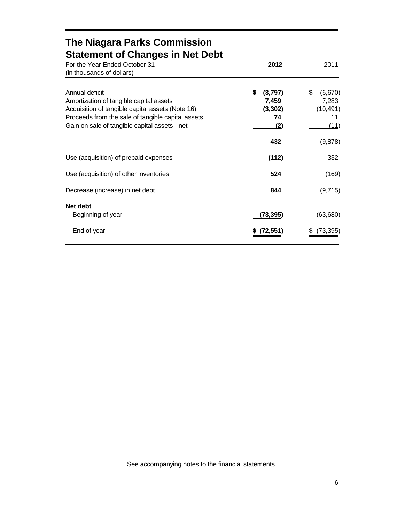| <b>The Niagara Parks Commission</b><br><b>Statement of Changes in Net Debt</b>                                                                                                                                      |                                                        |                                                              |  |
|---------------------------------------------------------------------------------------------------------------------------------------------------------------------------------------------------------------------|--------------------------------------------------------|--------------------------------------------------------------|--|
| For the Year Ended October 31<br>(in thousands of dollars)                                                                                                                                                          | 2012                                                   | 2011                                                         |  |
| Annual deficit<br>Amortization of tangible capital assets<br>Acquisition of tangible capital assets (Note 16)<br>Proceeds from the sale of tangible capital assets<br>Gain on sale of tangible capital assets - net | \$<br>(3,797)<br>7,459<br>(3, 302)<br>74<br>(2)<br>432 | \$<br>(6,670)<br>7,283<br>(10, 491)<br>11<br>(11)<br>(9,878) |  |
| Use (acquisition) of prepaid expenses                                                                                                                                                                               | (112)                                                  | 332                                                          |  |
| Use (acquisition) of other inventories                                                                                                                                                                              | 524                                                    | (169)                                                        |  |
| Decrease (increase) in net debt                                                                                                                                                                                     | 844                                                    | (9,715)                                                      |  |
| Net debt<br>Beginning of year<br>End of year                                                                                                                                                                        | (73,395)<br>(72, 551)                                  | (63,680)<br>(73, 395)                                        |  |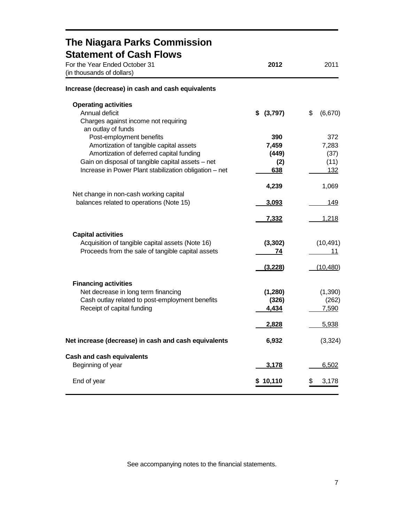| The Niagara Parks Commission                                        |              |               |
|---------------------------------------------------------------------|--------------|---------------|
| <b>Statement of Cash Flows</b>                                      |              |               |
| For the Year Ended October 31<br>(in thousands of dollars)          | 2012         | 2011          |
| Increase (decrease) in cash and cash equivalents                    |              |               |
| <b>Operating activities</b>                                         |              |               |
| Annual deficit                                                      | \$ (3,797)   | (6,670)<br>\$ |
| Charges against income not requiring                                |              |               |
| an outlay of funds                                                  |              |               |
| Post-employment benefits<br>Amortization of tangible capital assets | 390<br>7,459 | 372<br>7,283  |
| Amortization of deferred capital funding                            | (449)        | (37)          |
| Gain on disposal of tangible capital assets - net                   | (2)          | (11)          |
| Increase in Power Plant stabilization obligation - net              | 638          | 132           |
|                                                                     | 4,239        | 1,069         |
| Net change in non-cash working capital                              |              |               |
| balances related to operations (Note 15)                            | 3,093        | 149           |
|                                                                     | 7,332        | 1,218         |
| <b>Capital activities</b>                                           |              |               |
| Acquisition of tangible capital assets (Note 16)                    | (3, 302)     | (10, 491)     |
| Proceeds from the sale of tangible capital assets                   | 74           | 11            |
|                                                                     | (3,228)      | (10,480)      |
| <b>Financing activities</b>                                         |              |               |
| Net decrease in long term financing                                 | (1,280)      | (1, 390)      |
| Cash outlay related to post-employment benefits                     | (326)        | (262)         |
| Receipt of capital funding                                          | 4,434        | 7,590         |
|                                                                     | 2,828        | 5,938         |
| Net increase (decrease) in cash and cash equivalents                | 6,932        | (3, 324)      |
| <b>Cash and cash equivalents</b>                                    |              |               |
| Beginning of year                                                   | 3,178        | 6,502         |
| End of year                                                         | \$10,110     | 3,178<br>\$   |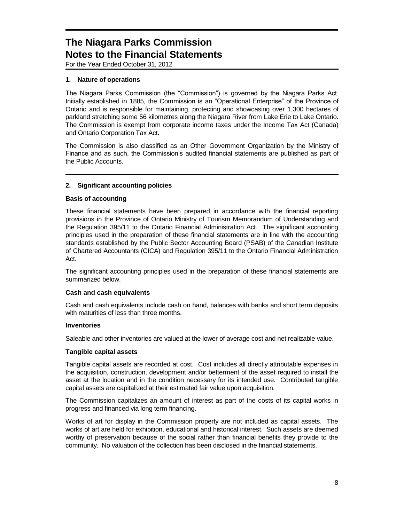For the Year Ended October 31, 2012

### **1. Nature of operations**

The Niagara Parks Commission (the "Commission") is governed by the Niagara Parks Act. Initially established in 1885, the Commission is an "Operational Enterprise" of the Province of Ontario and is responsible for maintaining, protecting and showcasing over 1,300 hectares of parkland stretching some 56 kilometres along the Niagara River from Lake Erie to Lake Ontario. The Commission is exempt from corporate income taxes under the Income Tax Act (Canada) and Ontario Corporation Tax Act.

The Commission is also classified as an Other Government Organization by the Ministry of Finance and as such, the Commission's audited financial statements are published as part of the Public Accounts.

#### **2. Significant accounting policies**

#### **Basis of accounting**

These financial statements have been prepared in accordance with the financial reporting provisions in the Province of Ontario Ministry of Tourism Memorandum of Understanding and the Regulation 395/11 to the Ontario Financial Administration Act. The significant accounting principles used in the preparation of these financial statements are in line with the accounting standards established by the Public Sector Accounting Board (PSAB) of the Canadian Institute of Chartered Accountants (CICA) and Regulation 395/11 to the Ontario Financial Administration Act.

The significant accounting principles used in the preparation of these financial statements are summarized below.

#### **Cash and cash equivalents**

Cash and cash equivalents include cash on hand, balances with banks and short term deposits with maturities of less than three months.

#### **Inventories**

Saleable and other inventories are valued at the lower of average cost and net realizable value.

#### **Tangible capital assets**

Tangible capital assets are recorded at cost. Cost includes all directly attributable expenses in the acquisition, construction, development and/or betterment of the asset required to install the asset at the location and in the condition necessary for its intended use. Contributed tangible capital assets are capitalized at their estimated fair value upon acquisition.

The Commission capitalizes an amount of interest as part of the costs of its capital works in progress and financed via long term financing.

Works of art for display in the Commission property are not included as capital assets. The works of art are held for exhibition, educational and historical interest. Such assets are deemed worthy of preservation because of the social rather than financial benefits they provide to the community. No valuation of the collection has been disclosed in the financial statements.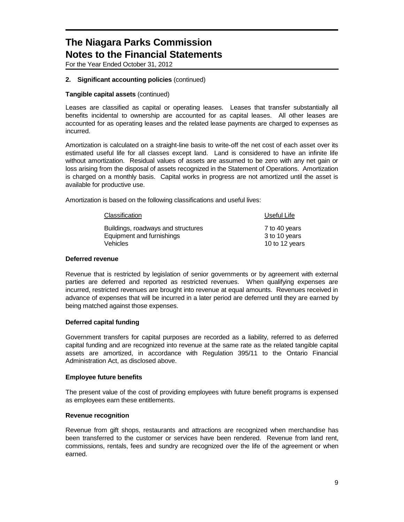For the Year Ended October 31, 2012

### **2. Significant accounting policies** (continued)

#### **Tangible capital assets** (continued)

Leases are classified as capital or operating leases. Leases that transfer substantially all benefits incidental to ownership are accounted for as capital leases. All other leases are accounted for as operating leases and the related lease payments are charged to expenses as incurred.

Amortization is calculated on a straight-line basis to write-off the net cost of each asset over its estimated useful life for all classes except land. Land is considered to have an infinite life without amortization. Residual values of assets are assumed to be zero with any net gain or loss arising from the disposal of assets recognized in the Statement of Operations. Amortization is charged on a monthly basis. Capital works in progress are not amortized until the asset is available for productive use.

Amortization is based on the following classifications and useful lives:

| Classification                     | Useful Life    |
|------------------------------------|----------------|
| Buildings, roadways and structures | 7 to 40 years  |
| Equipment and furnishings          | 3 to 10 years  |
| <b>Vehicles</b>                    | 10 to 12 years |

#### **Deferred revenue**

Revenue that is restricted by legislation of senior governments or by agreement with external parties are deferred and reported as restricted revenues. When qualifying expenses are incurred, restricted revenues are brought into revenue at equal amounts. Revenues received in advance of expenses that will be incurred in a later period are deferred until they are earned by being matched against those expenses.

#### **Deferred capital funding**

Government transfers for capital purposes are recorded as a liability, referred to as deferred capital funding and are recognized into revenue at the same rate as the related tangible capital assets are amortized, in accordance with Regulation 395/11 to the Ontario Financial Administration Act, as disclosed above.

#### **Employee future benefits**

The present value of the cost of providing employees with future benefit programs is expensed as employees earn these entitlements.

#### **Revenue recognition**

Revenue from gift shops, restaurants and attractions are recognized when merchandise has been transferred to the customer or services have been rendered. Revenue from land rent, commissions, rentals, fees and sundry are recognized over the life of the agreement or when earned.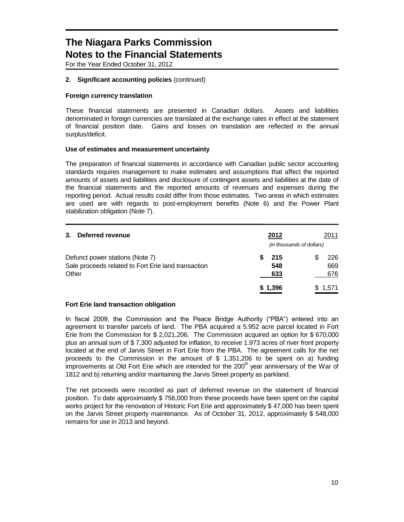For the Year Ended October 31, 2012

### **2. Significant accounting policies** (continued)

#### **Foreign currency translation**

These financial statements are presented in Canadian dollars. Assets and liabilities denominated in foreign currencies are translated at the exchange rates in effect at the statement of financial position date. Gains and losses on translation are reflected in the annual surplus/deficit.

#### **Use of estimates and measurement uncertainty**

The preparation of financial statements in accordance with Canadian public sector accounting standards requires management to make estimates and assumptions that affect the reported amounts of assets and liabilities and disclosure of contingent assets and liabilities at the date of the financial statements and the reported amounts of revenues and expenses during the reporting period. Actual results could differ from those estimates. Two areas in which estimates are used are with regards to post-employment benefits (Note 6) and the Power Plant stabilization obligation (Note 7).

| Deferred revenue<br>3.                                                                          | 2012<br>(in thousands of dollars) | 2011              |
|-------------------------------------------------------------------------------------------------|-----------------------------------|-------------------|
| Defunct power stations (Note 7)<br>Sale proceeds related to Fort Erie land transaction<br>Other | 215<br>548<br>633                 | 226<br>669<br>676 |
|                                                                                                 | \$1,396                           | 1.571<br>S.       |

#### **Fort Erie land transaction obligation**

In fiscal 2009, the Commission and the Peace Bridge Authority ("PBA") entered into an agreement to transfer parcels of land. The PBA acquired a 5.952 acre parcel located in Fort Erie from the Commission for \$ 2,021,206. The Commission acquired an option for \$ 670,000 plus an annual sum of \$ 7,300 adjusted for inflation, to receive 1.973 acres of river front property located at the end of Jarvis Street in Fort Erie from the PBA. The agreement calls for the net proceeds to the Commission in the amount of \$ 1,351,206 to be spent on a) funding improvements at Old Fort Erie which are intended for the 200<sup>th</sup> year anniversary of the War of 1812 and b) returning and/or maintaining the Jarvis Street property as parkland.

The net proceeds were recorded as part of deferred revenue on the statement of financial position. To date approximately \$ 756,000 from these proceeds have been spent on the capital works project for the renovation of Historic Fort Erie and approximately \$ 47,000 has been spent on the Jarvis Street property maintenance. As of October 31, 2012, approximately \$ 548,000 remains for use in 2013 and beyond.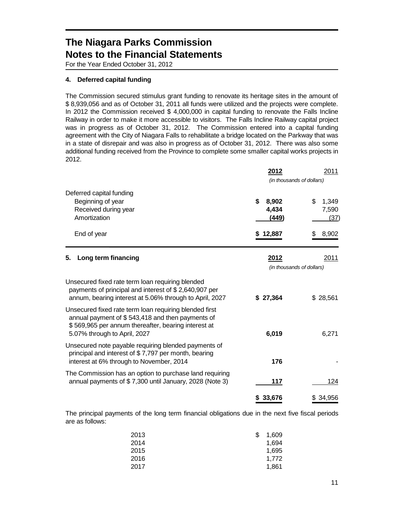For the Year Ended October 31, 2012

#### **4. Deferred capital funding**

The Commission secured stimulus grant funding to renovate its heritage sites in the amount of \$ 8,939,056 and as of October 31, 2011 all funds were utilized and the projects were complete. In 2012 the Commission received \$ 4,000,000 in capital funding to renovate the Falls Incline Railway in order to make it more accessible to visitors. The Falls Incline Railway capital project was in progress as of October 31, 2012. The Commission entered into a capital funding agreement with the City of Niagara Falls to rehabilitate a bridge located on the Parkway that was in a state of disrepair and was also in progress as of October 31, 2012. There was also some additional funding received from the Province to complete some smaller capital works projects in 2012.

|                                                                                                                                                                                                   | <u>2012</u>                   | 2011<br>(in thousands of dollars) |
|---------------------------------------------------------------------------------------------------------------------------------------------------------------------------------------------------|-------------------------------|-----------------------------------|
| Deferred capital funding<br>Beginning of year<br>Received during year<br>Amortization                                                                                                             | \$<br>8,902<br>4,434<br>(449) | \$<br>1,349<br>7,590<br>(37)      |
| End of year                                                                                                                                                                                       | 12,887                        | 8,902                             |
| Long term financing<br>5.                                                                                                                                                                         | 2012                          | 2011<br>(in thousands of dollars) |
| Unsecured fixed rate term loan requiring blended<br>payments of principal and interest of \$2,640,907 per<br>annum, bearing interest at 5.06% through to April, 2027                              | \$27,364                      | \$28,561                          |
| Unsecured fixed rate term loan requiring blended first<br>annual payment of \$543,418 and then payments of<br>\$569,965 per annum thereafter, bearing interest at<br>5.07% through to April, 2027 | 6,019                         | 6,271                             |
| Unsecured note payable requiring blended payments of<br>principal and interest of \$7,797 per month, bearing<br>interest at 6% through to November, 2014                                          | 176                           |                                   |
| The Commission has an option to purchase land requiring<br>annual payments of \$7,300 until January, 2028 (Note 3)                                                                                | 117                           | 124                               |
|                                                                                                                                                                                                   | \$33,676                      | \$34,956                          |

The principal payments of the long term financial obligations due in the next five fiscal periods are as follows:

| 2013 | S | 1,609 |
|------|---|-------|
| 2014 |   | 1,694 |
| 2015 |   | 1,695 |
| 2016 |   | 1,772 |
| 2017 |   | 1,861 |
|      |   |       |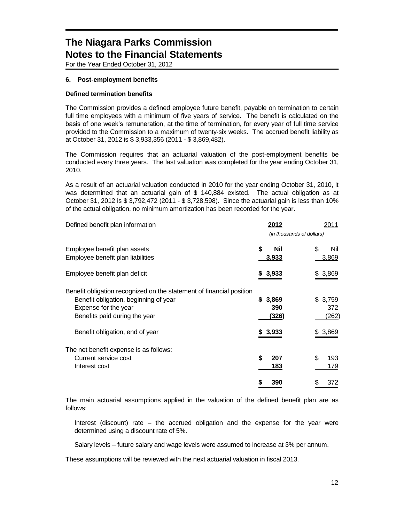For the Year Ended October 31, 2012

#### **6. Post-employment benefits**

#### **Defined termination benefits**

The Commission provides a defined employee future benefit, payable on termination to certain full time employees with a minimum of five years of service. The benefit is calculated on the basis of one week's remuneration, at the time of termination, for every year of full time service provided to the Commission to a maximum of twenty-six weeks. The accrued benefit liability as at October 31, 2012 is \$ 3,933,356 (2011 - \$ 3,869,482).

The Commission requires that an actuarial valuation of the post-employment benefits be conducted every three years. The last valuation was completed for the year ending October 31, 2010.

As a result of an actuarial valuation conducted in 2010 for the year ending October 31, 2010, it was determined that an actuarial gain of \$ 140,884 existed. The actual obligation as at October 31, 2012 is \$ 3,792,472 (2011 - \$ 3,728,598). Since the actuarial gain is less than 10% of the actual obligation, no minimum amortization has been recorded for the year.

| Defined benefit plan information                                     |    | 2012    | 2011                      |
|----------------------------------------------------------------------|----|---------|---------------------------|
|                                                                      |    |         | (in thousands of dollars) |
| Employee benefit plan assets                                         | \$ | Nil     | \$<br>Nil                 |
| Employee benefit plan liabilities                                    |    | 3,933   | 3,869                     |
| Employee benefit plan deficit                                        | \$ | 3,933   | \$3,869                   |
| Benefit obligation recognized on the statement of financial position |    |         |                           |
| Benefit obligation, beginning of year                                | S  | 3,869   | \$3,759                   |
| Expense for the year                                                 |    | 390     | 372                       |
| Benefits paid during the year                                        |    | (326)   | (262)                     |
| Benefit obligation, end of year                                      |    | \$3,933 | \$3,869                   |
| The net benefit expense is as follows:                               |    |         |                           |
| Current service cost                                                 | \$ | 207     | \$<br>193                 |
| Interest cost                                                        |    | 183     | 179                       |
|                                                                      |    | 390     | \$<br>372                 |
|                                                                      |    |         |                           |

The main actuarial assumptions applied in the valuation of the defined benefit plan are as follows:

Interest (discount) rate – the accrued obligation and the expense for the year were determined using a discount rate of 5%.

Salary levels – future salary and wage levels were assumed to increase at 3% per annum.

These assumptions will be reviewed with the next actuarial valuation in fiscal 2013.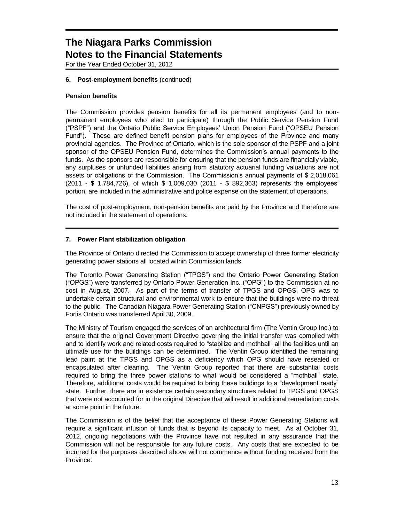For the Year Ended October 31, 2012

### **6. Post-employment benefits** (continued)

#### **Pension benefits**

The Commission provides pension benefits for all its permanent employees (and to nonpermanent employees who elect to participate) through the Public Service Pension Fund ("PSPF") and the Ontario Public Service Employees' Union Pension Fund ("OPSEU Pension Fund"). These are defined benefit pension plans for employees of the Province and many provincial agencies. The Province of Ontario, which is the sole sponsor of the PSPF and a joint sponsor of the OPSEU Pension Fund, determines the Commission's annual payments to the funds. As the sponsors are responsible for ensuring that the pension funds are financially viable, any surpluses or unfunded liabilities arising from statutory actuarial funding valuations are not assets or obligations of the Commission. The Commission's annual payments of \$ 2,018,061 (2011 - \$ 1,784,726), of which \$ 1,009,030 (2011 - \$ 892,363) represents the employees' portion, are included in the administrative and police expense on the statement of operations.

The cost of post-employment, non-pension benefits are paid by the Province and therefore are not included in the statement of operations.

#### **7. Power Plant stabilization obligation**

The Province of Ontario directed the Commission to accept ownership of three former electricity generating power stations all located within Commission lands.

The Toronto Power Generating Station ("TPGS") and the Ontario Power Generating Station ("OPGS") were transferred by Ontario Power Generation Inc. ("OPG") to the Commission at no cost in August, 2007. As part of the terms of transfer of TPGS and OPGS, OPG was to undertake certain structural and environmental work to ensure that the buildings were no threat to the public. The Canadian Niagara Power Generating Station ("CNPGS") previously owned by Fortis Ontario was transferred April 30, 2009.

The Ministry of Tourism engaged the services of an architectural firm (The Ventin Group Inc.) to ensure that the original Government Directive governing the initial transfer was complied with and to identify work and related costs required to "stabilize and mothball" all the facilities until an ultimate use for the buildings can be determined. The Ventin Group identified the remaining lead paint at the TPGS and OPGS as a deficiency which OPG should have resealed or encapsulated after cleaning. The Ventin Group reported that there are substantial costs required to bring the three power stations to what would be considered a "mothball" state. Therefore, additional costs would be required to bring these buildings to a "development ready" state. Further, there are in existence certain secondary structures related to TPGS and OPGS that were not accounted for in the original Directive that will result in additional remediation costs at some point in the future.

The Commission is of the belief that the acceptance of these Power Generating Stations will require a significant infusion of funds that is beyond its capacity to meet. As at October 31, 2012, ongoing negotiations with the Province have not resulted in any assurance that the Commission will not be responsible for any future costs. Any costs that are expected to be incurred for the purposes described above will not commence without funding received from the Province.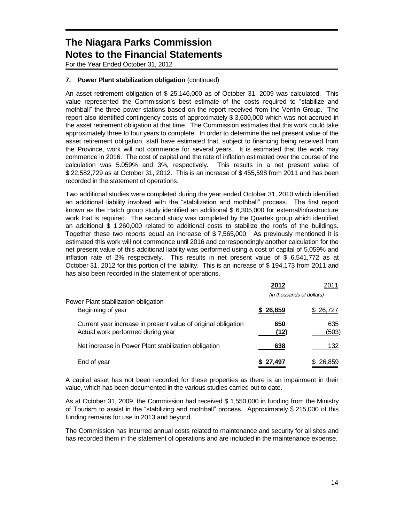For the Year Ended October 31, 2012

### **7. Power Plant stabilization obligation** (continued)

An asset retirement obligation of \$ 25,146,000 as of October 31, 2009 was calculated. This value represented the Commission's best estimate of the costs required to "stabilize and mothball" the three power stations based on the report received from the Ventin Group. The report also identified contingency costs of approximately \$ 3,600,000 which was not accrued in the asset retirement obligation at that time. The Commission estimates that this work could take approximately three to four years to complete. In order to determine the net present value of the asset retirement obligation, staff have estimated that, subject to financing being received from the Province, work will not commence for several years. It is estimated that the work may commence in 2016. The cost of capital and the rate of inflation estimated over the course of the calculation was 5.059% and 3%, respectively. This results in a net present value of \$ 22,582,729 as at October 31, 2012. This is an increase of \$ 455,598 from 2011 and has been recorded in the statement of operations.

Two additional studies were completed during the year ended October 31, 2010 which identified an additional liability involved with the "stabilization and mothball" process. The first report known as the Hatch group study identified an additional \$ 6,305,000 for external/infrastructure work that is required. The second study was completed by the Quartek group which identified an additional \$ 1,260,000 related to additional costs to stabilize the roofs of the buildings. Together these two reports equal an increase of \$ 7,565,000. As previously mentioned it is estimated this work will not commence until 2016 and correspondingly another calculation for the net present value of this additional liability was performed using a cost of capital of 5.059% and inflation rate of 2% respectively. This results in net present value of \$ 6,541,772 as at October 31, 2012 for this portion of the liability. This is an increase of \$ 194,173 from 2011 and has also been recorded in the statement of operations.

|                                                               | 2012                      |          |
|---------------------------------------------------------------|---------------------------|----------|
|                                                               | (in thousands of dollars) |          |
| Power Plant stabilization obligation                          |                           |          |
| Beginning of year                                             | \$26,859                  | \$26,727 |
| Current year increase in present value of original obligation | 650                       | 635      |
| Actual work performed during year                             | (12)                      | (503)    |
| Net increase in Power Plant stabilization obligation          | 638                       | 132      |
| End of year                                                   | \$27,497                  | 26,859   |

A capital asset has not been recorded for these properties as there is an impairment in their value, which has been documented in the various studies carried out to date.

As at October 31, 2009, the Commission had received \$ 1,550,000 in funding from the Ministry of Tourism to assist in the "stabilizing and mothball" process. Approximately \$ 215,000 of this funding remains for use in 2013 and beyond.

The Commission has incurred annual costs related to maintenance and security for all sites and has recorded them in the statement of operations and are included in the maintenance expense.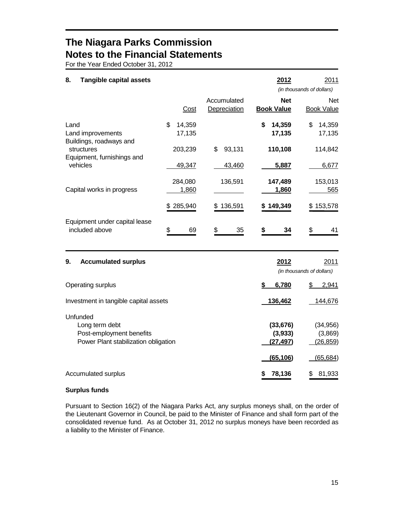For the Year Ended October 31, 2012

| 8.<br><b>Tangible capital assets</b>                 |                        |                             | 2012                            | 2011<br>(in thousands of dollars) |
|------------------------------------------------------|------------------------|-----------------------------|---------------------------------|-----------------------------------|
|                                                      | Cost                   | Accumulated<br>Depreciation | <b>Net</b><br><b>Book Value</b> | <b>Net</b><br><b>Book Value</b>   |
| Land<br>Land improvements<br>Buildings, roadways and | \$<br>14,359<br>17,135 |                             | \$<br>14,359<br>17,135          | \$<br>14,359<br>17,135            |
| structures<br>Equipment, furnishings and<br>vehicles | 203,239<br>49,347      | 93,131<br>\$<br>43,460      | 110,108<br>5,887                | 114,842<br>6,677                  |
| Capital works in progress                            | 284,080<br>1,860       | 136,591                     | 147,489<br>1,860                | 153,013<br>565                    |
|                                                      | 285,940                | 136,591<br>\$.              | 149,349                         | 153,578<br>\$.                    |
| Equipment under capital lease<br>included above      | \$<br>69               | \$<br>35                    | \$<br>34                        | \$<br>41                          |

| 9.<br><b>Accumulated surplus</b>                                                               | <u> 2012 </u>                                 | 2011<br>(in thousands of dollars)            |
|------------------------------------------------------------------------------------------------|-----------------------------------------------|----------------------------------------------|
| Operating surplus                                                                              | 6,780<br>S                                    | 2,941<br>S                                   |
| Investment in tangible capital assets                                                          | 136,462                                       | 144,676                                      |
| Unfunded<br>Long term debt<br>Post-employment benefits<br>Power Plant stabilization obligation | (33, 676)<br>(3,933)<br>(27,497)<br>(65, 106) | (34,956)<br>(3,869)<br>(26,859)<br>(65, 684) |
| Accumulated surplus                                                                            | 78,136                                        | 81,933                                       |

#### **Surplus funds**

Pursuant to Section 16(2) of the Niagara Parks Act, any surplus moneys shall, on the order of the Lieutenant Governor in Council, be paid to the Minister of Finance and shall form part of the consolidated revenue fund. As at October 31, 2012 no surplus moneys have been recorded as a liability to the Minister of Finance.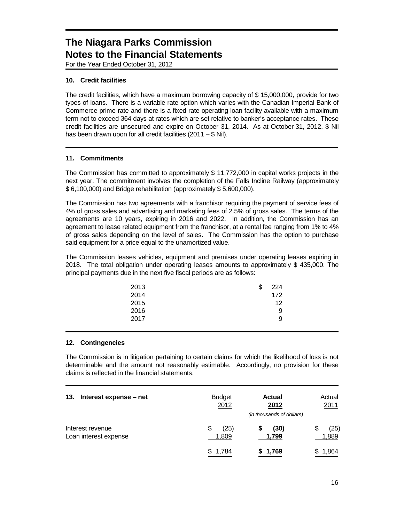For the Year Ended October 31, 2012

#### **10. Credit facilities**

The credit facilities, which have a maximum borrowing capacity of \$ 15,000,000, provide for two types of loans. There is a variable rate option which varies with the Canadian Imperial Bank of Commerce prime rate and there is a fixed rate operating loan facility available with a maximum term not to exceed 364 days at rates which are set relative to banker's acceptance rates. These credit facilities are unsecured and expire on October 31, 2014. As at October 31, 2012, \$ Nil has been drawn upon for all credit facilities (2011 – \$ Nil).

#### **11. Commitments**

The Commission has committed to approximately \$ 11,772,000 in capital works projects in the next year. The commitment involves the completion of the Falls Incline Railway (approximately \$ 6,100,000) and Bridge rehabilitation (approximately \$ 5,600,000).

The Commission has two agreements with a franchisor requiring the payment of service fees of 4% of gross sales and advertising and marketing fees of 2.5% of gross sales. The terms of the agreements are 10 years, expiring in 2016 and 2022. In addition, the Commission has an agreement to lease related equipment from the franchisor, at a rental fee ranging from 1% to 4% of gross sales depending on the level of sales. The Commission has the option to purchase said equipment for a price equal to the unamortized value.

The Commission leases vehicles, equipment and premises under operating leases expiring in 2018. The total obligation under operating leases amounts to approximately \$ 435,000. The principal payments due in the next five fiscal periods are as follows:

| 2013 | \$<br>224 |
|------|-----------|
| 2014 | 172       |
| 2015 | 12        |
| 2016 | 9         |
| 2017 | 9         |
|      |           |

#### **12. Contingencies**

The Commission is in litigation pertaining to certain claims for which the likelihood of loss is not determinable and the amount not reasonably estimable. Accordingly, no provision for these claims is reflected in the financial statements.

| 13.<br>Interest expense – net             | <b>Budget</b><br>2012 | <b>Actual</b><br>2012<br>(in thousands of dollars) | Actual<br><u>2011</u> |
|-------------------------------------------|-----------------------|----------------------------------------------------|-----------------------|
| Interest revenue<br>Loan interest expense | (25)<br>\$<br>1,809   | (30)<br>1,799                                      | (25)<br>\$<br>1,889   |
|                                           | \$1,784               | \$1,769                                            | 1,864<br>S            |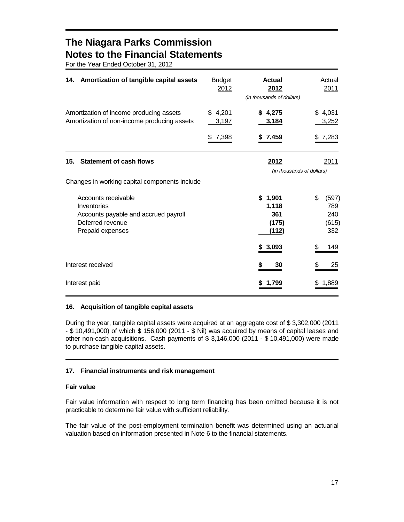For the Year Ended October 31, 2012

| 14. Amortization of tangible capital assets                                                                        | <b>Budget</b><br>2012       | <b>Actual</b><br>2012<br>(in thousands of dollars) | Actual<br>2011                             |
|--------------------------------------------------------------------------------------------------------------------|-----------------------------|----------------------------------------------------|--------------------------------------------|
| Amortization of income producing assets<br>Amortization of non-income producing assets                             | \$4,201<br>3,197<br>\$7,398 | \$4,275<br>3,184<br>7,459<br>S.                    | \$4,031<br>3,252<br>\$7,283                |
| <b>Statement of cash flows</b><br>15.                                                                              |                             | 2012<br>(in thousands of dollars)                  | 2011                                       |
| Changes in working capital components include                                                                      |                             |                                                    |                                            |
| Accounts receivable<br>Inventories<br>Accounts payable and accrued payroll<br>Deferred revenue<br>Prepaid expenses |                             | 1,901<br>\$<br>1,118<br>361<br>(175)<br>(112)      | \$.<br>(597)<br>789<br>240<br>(615)<br>332 |
|                                                                                                                    |                             | \$3,093                                            | \$<br>149                                  |
| Interest received                                                                                                  |                             | 30<br>S                                            | \$<br>25                                   |
| Interest paid                                                                                                      |                             | 1,799<br>S                                         | 1,889                                      |

### **16. Acquisition of tangible capital assets**

During the year, tangible capital assets were acquired at an aggregate cost of \$ 3,302,000 (2011 - \$ 10,491,000) of which \$ 156,000 (2011 - \$ Nil) was acquired by means of capital leases and other non-cash acquisitions. Cash payments of \$ 3,146,000 (2011 - \$ 10,491,000) were made to purchase tangible capital assets.

### **17. Financial instruments and risk management**

#### **Fair value**

Fair value information with respect to long term financing has been omitted because it is not practicable to determine fair value with sufficient reliability.

The fair value of the post-employment termination benefit was determined using an actuarial valuation based on information presented in Note 6 to the financial statements.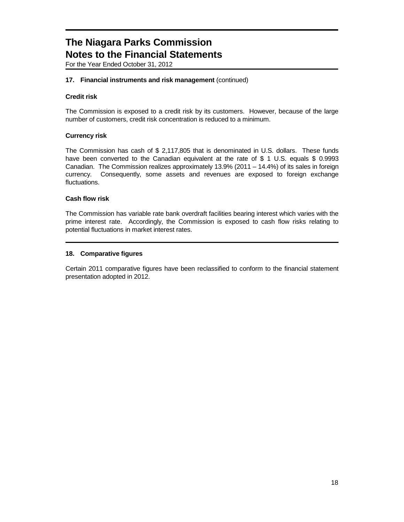For the Year Ended October 31, 2012

#### **17. Financial instruments and risk management** (continued)

#### **Credit risk**

The Commission is exposed to a credit risk by its customers. However, because of the large number of customers, credit risk concentration is reduced to a minimum.

#### **Currency risk**

The Commission has cash of \$ 2,117,805 that is denominated in U.S. dollars. These funds have been converted to the Canadian equivalent at the rate of \$ 1 U.S. equals \$ 0.9993 Canadian. The Commission realizes approximately 13.9% (2011 – 14.4%) of its sales in foreign currency. Consequently, some assets and revenues are exposed to foreign exchange fluctuations.

#### **Cash flow risk**

The Commission has variable rate bank overdraft facilities bearing interest which varies with the prime interest rate. Accordingly, the Commission is exposed to cash flow risks relating to potential fluctuations in market interest rates.

#### **18. Comparative figures**

Certain 2011 comparative figures have been reclassified to conform to the financial statement presentation adopted in 2012.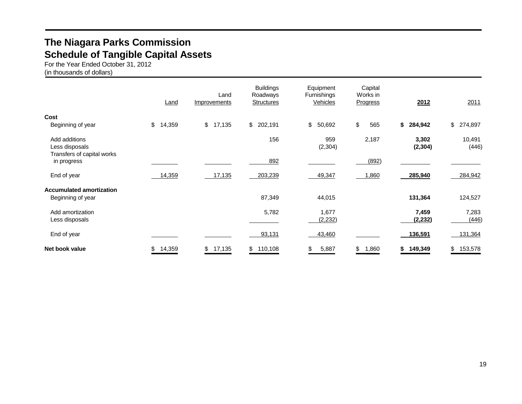# **The Niagara Parks Commission Schedule of Tangible Capital Assets**

For the Year Ended October 31, 2012 (in thousands of dollars)

|                                                             | Land         | Land<br>Improvements | <b>Buildings</b><br>Roadways<br><b>Structures</b> | Equipment<br><b>Furnishings</b><br>Vehicles | Capital<br>Works in<br><b>Progress</b> | 2012              | 2011           |
|-------------------------------------------------------------|--------------|----------------------|---------------------------------------------------|---------------------------------------------|----------------------------------------|-------------------|----------------|
| Cost<br>Beginning of year                                   | \$<br>14,359 | \$<br>17,135         | $\mathfrak{S}$<br>202,191                         | \$<br>50,692                                | \$<br>565                              | \$<br>284,942     | \$<br>274,897  |
| Add additions                                               |              |                      | 156                                               | 959                                         | 2,187                                  | 3,302             | 10,491         |
| Less disposals<br>Transfers of capital works<br>in progress |              |                      | 892                                               | (2, 304)                                    | (892)                                  | (2, 304)          | (446)          |
| End of year                                                 | 14,359       | 17,135               | 203,239                                           | 49,347                                      | 1,860                                  | 285,940           | 284,942        |
| <b>Accumulated amortization</b><br>Beginning of year        |              |                      | 87,349                                            | 44,015                                      |                                        | 131,364           | 124,527        |
| Add amortization<br>Less disposals                          |              |                      | 5,782                                             | 1,677<br>(2,232)                            |                                        | 7,459<br>(2, 232) | 7,283<br>(446) |
| End of year                                                 |              |                      | 93,131                                            | 43,460                                      |                                        | 136,591           | 131,364        |
| Net book value                                              | \$<br>14,359 | \$<br>17,135         | \$<br>110,108                                     | \$<br>5,887                                 | \$<br>1,860                            | 149,349<br>\$     | \$<br>153,578  |